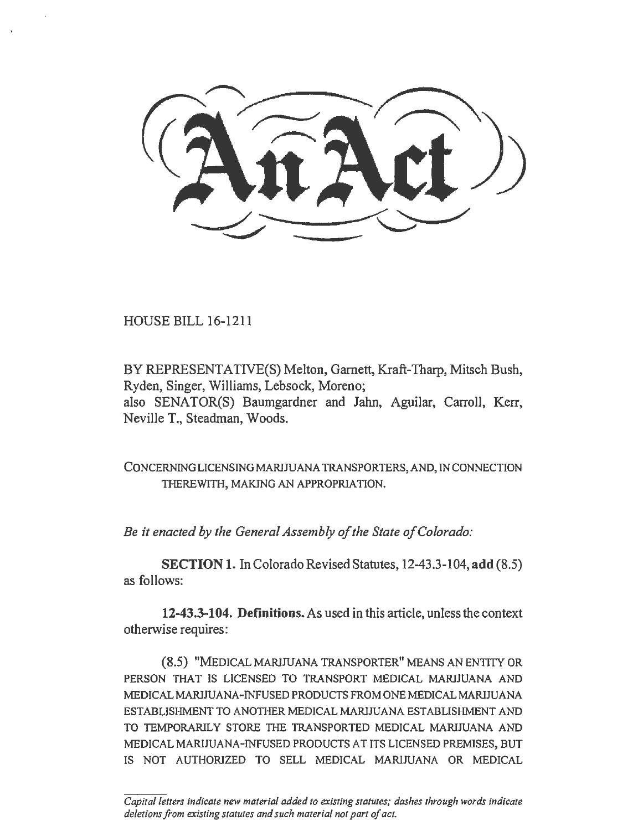HOUSE BILL 16-1211

BY REPRESENTATIVE(S) Melton, Garnett, Kraft-Tharp, Mitsch Bush, Ryden, Singer, Williams, Lebsock, Moreno; also SENATOR(S) Baumgardner and Jahn, Aguilar, Carroll, Kerr, Neville T., Steadman, Woods.

CONCERNING LICENSING MARJJUANA TRANSPORTERS, AND, IN CONNECTION THEREWITH, MAKING AN APPROPRIATION.

*Be* it *enacted by the General Assembly of the State of Colorado:* 

**SECTION 1.** In Colorado Revised Statutes, 12-43 .3-104, **add** (8.5) as follows:

**12-43.3-104. Definitions.** As used in this article, unless the context otherwise requires:

(8.5) "MEDICAL MARJJUANA TRANSPORTER" MEANS AN ENTITY OR PERSON THAT IS LICENSED TO TRANSPORT MEDICAL MARJJUANA AND MEDICAL MARIJUANA-INFUSED PRODUCTS FROM ONE MEDICAL MARJJUANA ESTABLISHMENT TO ANOTHER MEDICAL MARIJUANA ESTABLISHMENT AND TO TEMPORARILY STORE THE TRANSPORTED MEDICAL MARIJUANA AND MEDICAL MARIJUANA-INFUSED PRODUCTS AT ITS LICENSED PREMISES, BUT IS NOT AUTHORIZED TO SELL MEDICAL MARIJUANA OR MEDICAL

*Capital letters indicate new material added to existing statutes; dashes through words indicate deletions from existing statutes and such material not part of act.*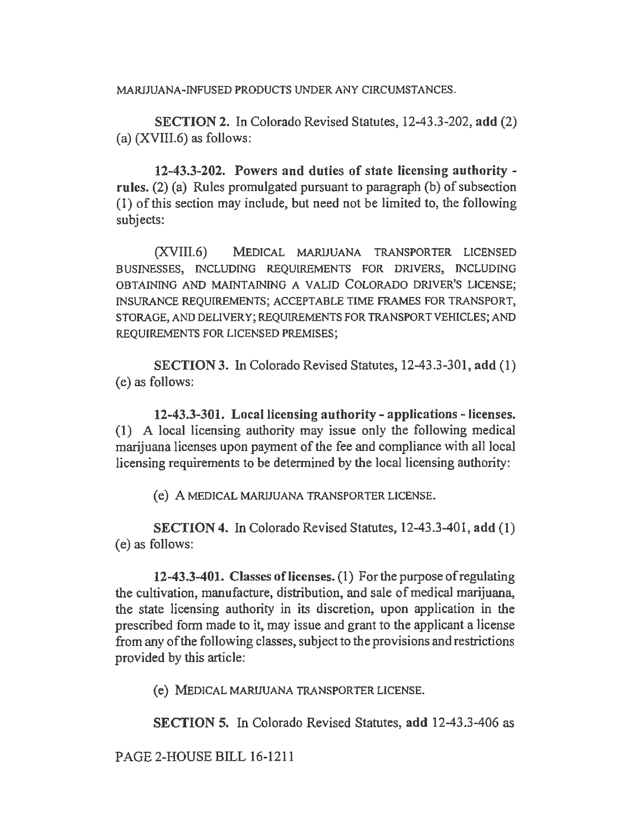MARIJUANA-INFUSED PRODUCTS UNDER ANY CIRCUMSTANCES.

SECTION 2. In Colorado Revised Statutes, 12-43.3-202, add (2) (a) (XVIII.6) as follows:

12-43.3-202. Powers and duties of state licensing authority rules. (2) (a) Rules promulgated pursuant to paragraph (b) of subsection ( 1) of this section may include, but need not be limited to, the following subjects:

(XVIII.6) MEDICAL MARIJUANA TRANSPORTER LICENSED BUSINESSES, INCLUDING REQUIREMENTS FOR DRIVERS, INCLUDING OBTAINING AND MAINTAINING A VALID COLORADO DRIVER'S LICENSE; INSURANCE REQUIREMENTS; ACCEPTABLE TIME FRAMES FOR TRANSPORT, STORAGE, AND DELIVERY; REQUIREMENTS FOR TRANSPORT VEHICLES; AND REQUIREMENTS FOR LICENSED PREMISES;

SECTION 3. In Colorado Revised Statutes, 12-43.3-301, add (I) (e) as follows:

12-43.3-301. Local licensing authority - applications - licenses. (1) A local licensing authority may issue only the following medical marijuana licenses upon payment of the fee and compliance with all local licensing requirements to be determined by the local licensing authority:

( e) A MEDICAL MARIJUANA TRANSPORTER LICENSE.

SECTION 4. In Colorado Revised Statutes, 12-43.3-401, add (1) (e) as follows:

12-43.3-401. Classes oflicenses. (1) For the purpose ofregulating the cultivation, manufacture, distribution, and sale of medical marijuana, the state licensing authority in its discretion, upon application in the prescribed form made to it, may issue and grant to the applicant a license from any of the following classes, subject to the provisions and restrictions provided by this article:

( e) MEDICAL MARIJUANA TRANSPORTER LICENSE.

SECTION 5. In Colorado Revised Statutes, add 12-43.3-406 as

PAGE 2-HOUSE BILL 16-1211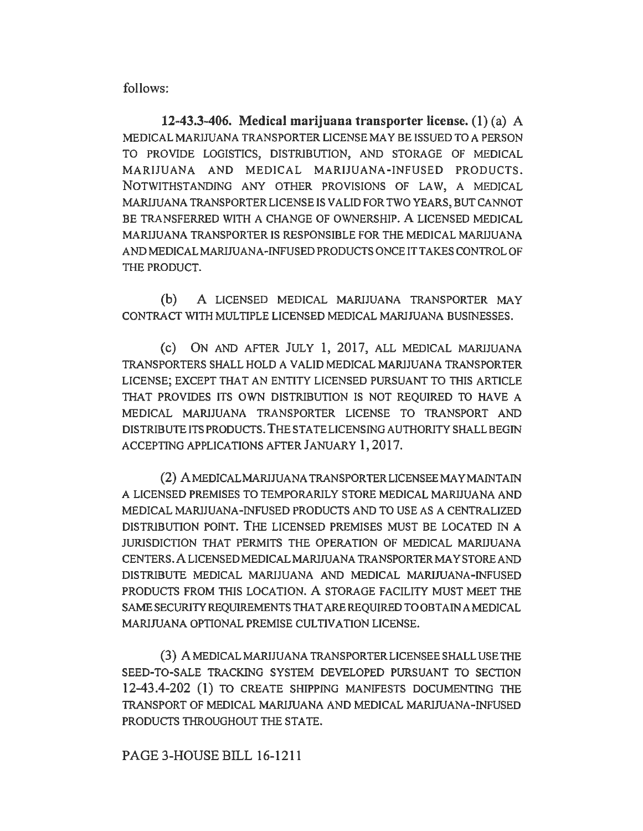follows:

12-43.3-406. Medical marijuana transporter license. (I) (a) A MEDICAL MARIJUANA TRANSPORTER LICENSE MAY BE ISSUED TO A PERSON TO PROVIDE LOGISTICS, DISTRIBUTION, AND STORAGE OF MEDICAL MARIJUANA AND MEDICAL MARIJUANA-INFUSED PRODUCTS. NOTWITHSTANDING ANY OTHER PROVISIONS OF LAW, A MEDICAL MARIJUANA TRANSPORTER LICENSE IS VALID FOR TWO YEARS, BUT CANNOT BE TRANSFERRED WITH A CHANGE OF OWNERSHIP. A LICENSED MEDICAL MARIJUANA TRANSPORTER IS RESPONSIBLE FOR THE MEDICAL MARIJUANA AND MEDICAL MARIJUANA-INFUSED PRODUCTS ONCE IT TAKES CONTROL OF THE PRODUCT.

(b) A LICENSED MEDICAL MARIJUANA TRANSPORTER MAY CONTRACT WITH MULTIPLE LICENSED MEDICAL MARIJUANA BUSINESSES.

(c) ON AND AFTER JULY l, 2017, ALL MEDICAL MARIJUANA TRANSPORTERS SHALL HOLD A VALID MEDICAL MARIJUANA TRANSPORTER LICENSE; EXCEPT THAT AN ENTITY LICENSED PURSUANT TO THIS ARTICLE THAT PROVIDES ITS OWN DISTRIBUTION IS NOT REQUIRED TO HAVE A MEDICAL MARIJUANA TRANSPORTER LICENSE TO TRANSPORT AND DISTRIBUTE ITS PRODUCTS. THE STA TE LICENSING AUTHORITY SHALL BEGIN ACCEPTING APPLICATIONS AFTER JANUARY l, 2017.

(2) A MEDICAL MARIJUANA TRANSPORTER LICENSEE MA YMAINTAIN A LICENSED PREMISES TO TEMPORARILY STORE MEDICAL MARIJUANA AND MEDICAL MARIJUANA-INFUSED PRODUCTS AND TO USE AS A CENTRALIZED DISTRIBUTION POINT. THE LICENSED PREMISES MUST BE LOCATED IN A JURISDICTION THAT PERMITS THE OPERATION OF MEDICAL MARIJUANA CENTERS.A LICENSED MEDICAL MARIJUANA TRANSPORTER MAY STORE AND DISTRIBUTE MEDICAL MARIJUANA AND MEDICAL MARIJUANA-INFUSED PRODUCTS FROM THIS LOCATION. A STORAGE FACILITY MUST MEET THE SAME SECURITY REQUIREMENTS THAT ARE REQUIRED TO OBTAIN A MEDICAL MARIJUANA OPTIONAL PREMISE CULTIVATION LICENSE.

(3) A MEDICAL MARIJUANA TRANSPORTER LICENSEE SHALL USE THE SEED-TO-SALE TRACKING SYSTEM DEVELOPED PURSUANT TO SECTION 12-43.4-202 (1) TO CREATE SHIPPING MANIFESTS DOCUMENTING THE TRANSPORT OF MEDICAL MARIJUANA AND MEDICAL MARIJUANA-INFUSED PRODUCTS THROUGHOUT THE STATE.

PAGE 3-HOUSE BILL 16-1211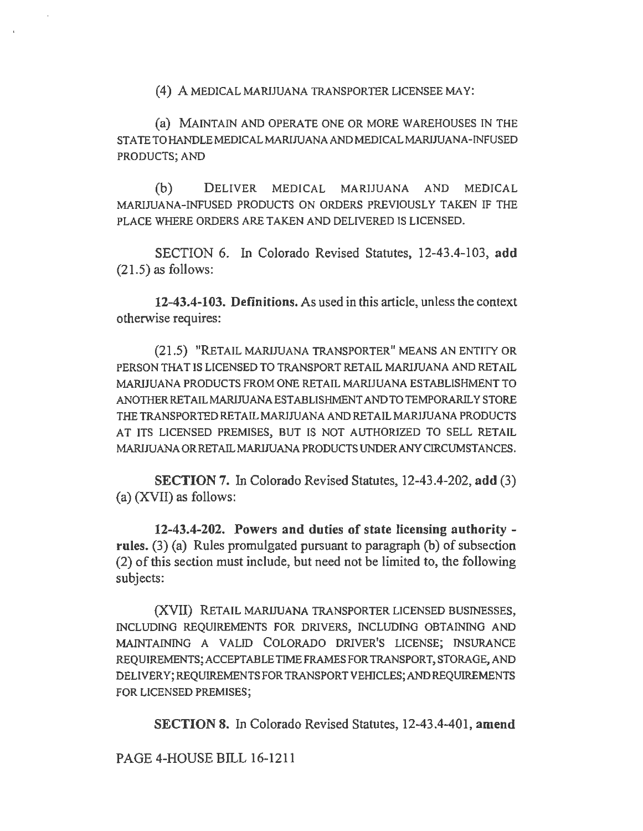( 4) A MEDICAL MARIJUANA TRANSPORTER LICENSEE MAY:

(a) MAINTAIN AND OPERATE ONE OR MORE WAREHOUSES IN THE STATE TO HANDLE MEDICAL MARIJUANA AND MEDICAL MARIJUANA-INFUSED PRODUCTS; AND

(b) DELIVER MEDICAL MARIJUANA AND MEDICAL MARIJUANA-INFUSED PRODUCTS ON ORDERS PREVIOUSLY TAKEN IF THE PLACE WHERE ORDERS ARE TAKEN AND DELIVERED IS LICENSED.

SECTION 6. In Colorado Revised Statutes, 12-43.4-103, add (21.5) as follows:

12-43.4-103. Definitions. As used in this article, unless the context otherwise requires:

(21.5) "RETAIL MARIJUANA TRANSPORTER" MEANS AN ENTITY OR PERSON THAT IS LICENSED TO TRANSPORT RETAIL MARIJUANA AND RETAIL MARIJUANA PRODUCTS FROM ONE RETAIL MARJJUANA ESTABLISHMENT TO ANOTIIERRETAIL MARIJUANA ESTABLISHMENT AND TO TEMPORARILY STORE THE TRANSPORTED RETAIL MARIJUANA AND RETAIL MARIJUANA PRODUCTS AT ITS LICENSED PREMISES, BUT IS NOT AUTHORJZED TO SELL RETAIL MARIJUANA OR RETAIL MARIJUANA PRODUCTS UNDER ANY CIRCUMSTANCES.

SECTION 7. In Colorado Revised Statutes, 12-43.4-202, add (3) (a) (XVII) as follows:

12-43.4-202. Powers and duties of state licensing authority rules. (3) (a) Rules promulgated pursuant to paragraph (b) of subsection (2) of this section must include, but need not be limited to, the following subjects:

(XVII) RETAIL MARIJUANA TRANSPORTER LICENSED BUSINESSES, INCLUDING REQUIREMENTS FOR DRIVERS, INCLUDING OBTAINING AND MAINTAINING A VALID COLORADO DRIVER'S LICENSE; INSURANCE REQUIREMENTS; ACCEPTABLE TIME FRAMES FOR TRANSPORT, STORAGE, AND DELIVERY; REQUIREMENTS FOR TRANSPORT VEHICLES; AND REQUIREMENTS FOR LICENSED PREMISES;

SECTION 8. In Colorado Revised Statutes, 12-43.4-401, amend

PAGE 4-HOUSE BILL 16-1211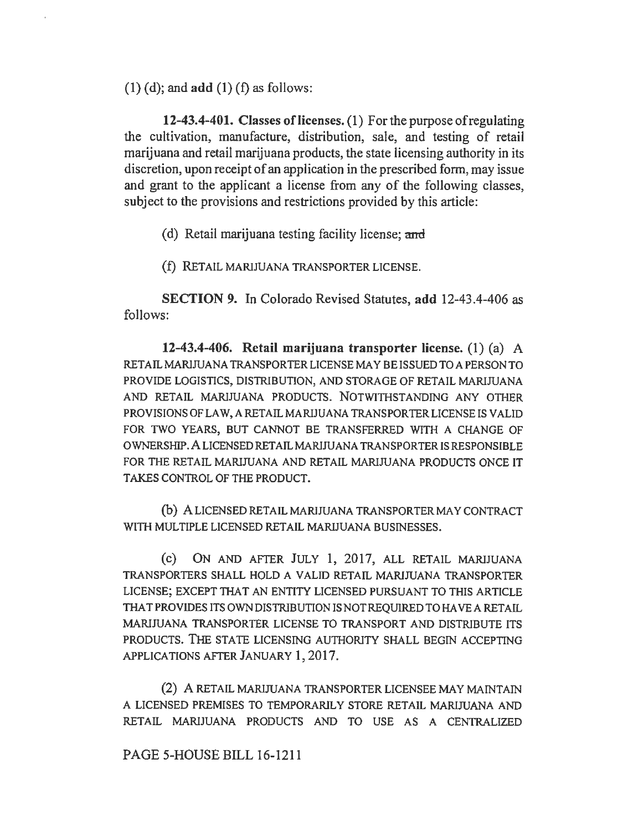$(1)$  (d); and add  $(1)$  (f) as follows:

12-43.4-401. Classes of licenses. (1) For the purpose of regulating the cultivation, manufacture, distribution, sale, and testing of retail marijuana and retail marijuana products, the state licensing authority in its discretion, upon receipt of an application in the prescribed form, may issue and grant to the applicant a license from any of the following classes, subject to the provisions and restrictions provided by this article:

(d) Retail marijuana testing facility license; and

(f) RETAIL MARIJUANA TRANSPORTER LICENSE.

SECTION 9. In Colorado Revised Statutes, add 12-43.4-406 as follows:

12-43.4-406. Retail marijuana transporter license. (1) (a) A RETAIL MARIJUANA TRANSPORTER LICENSE MAY BE ISSUED TO A PERSON TO PROVIDE LOGISTICS, DISTRIBUTION, AND STORAGE OF RETAIL MARIJUANA AND RETAIL MARIJUANA PRODUCTS. NOTWITIISTANDING ANY OTHER PROVISIONS OF LAW, A RETAIL MARIJUANA TRANSPORTER LICENSE IS VALID FOR TWO YEARS, BUT CANNOT BE TRANSFERRED WITH A CHANGE OF OWNERSHIP.ALICENSEDRETAILMARIJUANA TRANSPORTERISRESPONSIBLE FOR THE RETAIL MARIJUANA AND RETAIL MARIJUANA PRODUCTS ONCE IT TAKES CONTROL OF THE PRODUCT.

(b) A LICENSED RETAIL MARIJUANA TRANSPORTER MAY CONTRACT WITH MULTIPLE LICENSED RETAIL MARIJUANA BUSINESSES.

(c) ON AND AFTER JULY 1, 2017, ALL RETAIL MARIJUANA TRANSPORTERS SHALL HOLD A VALID RETAIL MARIJUANA TRANSPORTER LICENSE; EXCEPT THAT AN ENTITY LICENSED PURSUANT TO THIS ARTICLE THAT PROVIDES ITS OWN DISTRIBUTION IS NOT REQUIRED TO HA VE A RETAIL MARIJUANA TRANSPORTER LICENSE TO TRANSPORT AND DISTRIBUTE ITS PRODUCTS. THE STATE LICENSING AUTIIORITY SHALL BEGIN ACCEPTING APPLICATIONS AFTER JANUARY 1, 2017.

(2) A RETAIL MARIJUANA TRANSPORTER LICENSEE MAY MAINTAIN A LICENSED PREMISES TO TEMPORARILY STORE RETAIL MARIJUANA AND RETAIL MARIJUANA PRODUCTS AND TO USE AS A CENTRALIZED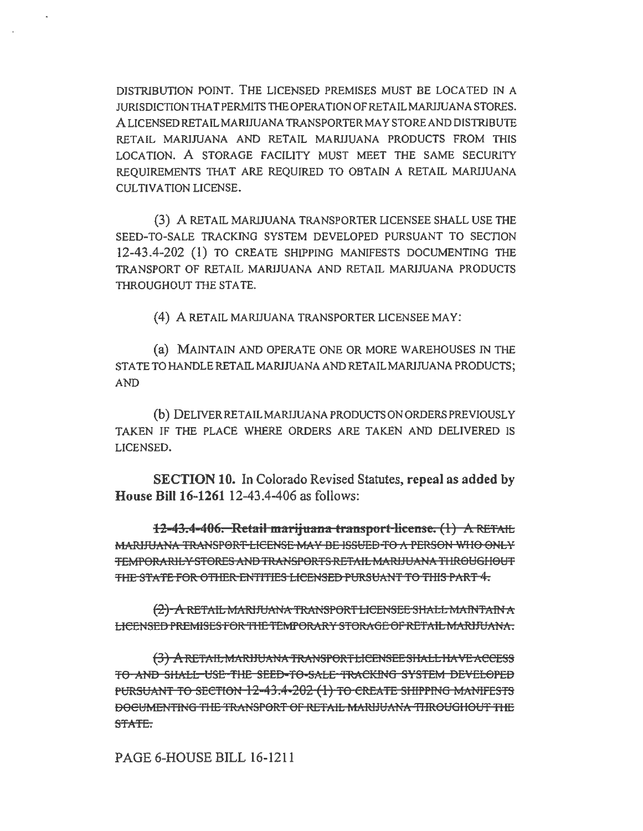DISTRIBUTION POINT. THE LICENSED PREMISES MUST BE LOCATED IN A JURISDICTION THAT PERMITS TIIE OPERATION OF RETAIL MARIJUANA STORES. A LICENSED RETAIL MARIJUANA TRANSPORTER MAY STORE AND DISTRIBUTE RETAIL MARIJUANA AND RETAIL MARIJUANA PRODUCTS FROM THIS LOCATION. A STORAGE FACILITY MUST MEET THE SAME SECURITY REQUIREMENTS THAT ARE REQUIRED TO OBTAIN A RETAIL MARIJUANA CULTIVATION LICENSE.

(3) A RETAIL MARIJUANA TRANSPORTER LICENSEE SHALL USE THE SEED-TO-SALE TRACKING SYSTEM DEVELOPED PURSUANT TO SECTION 12-43.4-202 (1) TO CREATE SHIPPING MANIFESTS DOCUMENTING THE TRANSPORT OF RETAIL MARIJUANA AND RETAIL MARIJUANA PRODUCTS THROUGHOUT THE STA TE.

(4) A RETAIL MARIJUANA TRANSPORTER LICENSEE MAY:

(a) MAINTAIN AND OPERATE ONE OR MORE WAREHOUSES IN THE STA TE TO HANDLE RETAIL MARIJUANA AND RETAIL MARIJUANA PRODUCTS; AND

(b) DELIVER RETAIL MARIJUANA PRODUCTS ON ORDERS PREVIOUSLY TAKEN IF THE PLACE WHERE ORDERS ARE TAKEN AND DELIVERED IS LICENSED.

SECTION 10. In Colorado Revised Statutes, repeal as added by House Bill 16-1261 12-43.4-406 as follows:

12-43.4-406. Retail marijuana transport license. (I) A RETAIL MARIJUANA TRANSPORT LICENSE MAY DE ISSUED TO A PERSON WIIO ONLY TEMPORARILY STORES AND TRANSPORTS RETAIL MARIJUANA TI IROUGHOUT THE STATE FOR OTHER ENTITIES LICENSED PURSUANT TO THIS PART 4.

(2) A RETAIL MARIJUANA TRANSPORT LICENSEE SHALL MAINTAIN A LICENSED PREMISES FOR THE TEMPORARY STORAGE OF RETAIL MARIJUANA.

(3) A RETAIL MARIJUANA TRANSPORT LICENSEE SI IALL HAVE ACCESS TO AND SHALL USE THE SEED-TO-SALE TRACKING SYSTEM DEVELOPED PURSUANT TO SECTION 12-43.4-202 (1) TO CREATE SHIPPING MANIFESTS DOCUMENTING THE TRANSPORT OF RETAIL MARIJUANA THROUGHOUT THE STATE.

PAGE 6-HOUSE BILL 16-1211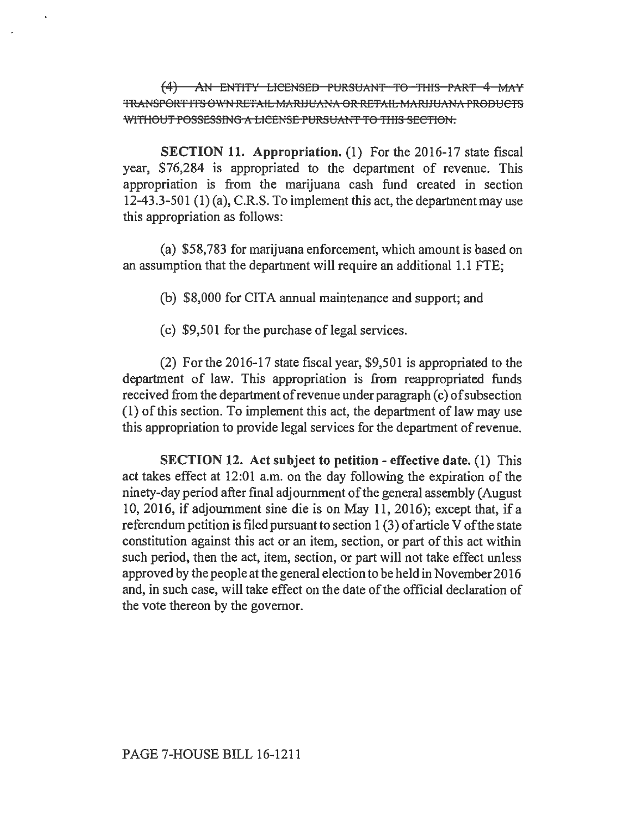(4) AN ENTITY LICENSED PURSUANT TO THIS PART 4 MAY TRANSPORT ITS OWN RETAIL MARIJUANA OR RETAIL MARIJUANA PRODUCTS WITHOUT POSSESSING A LICENSE PURSUANT TO THIS SECTION.

SECTION 11. Appropriation. (I) For the 2016-17 state fiscal year, \$76,284 is appropriated to the department of revenue. This appropriation is from the marijuana cash fund created in section 12-43.3-501 (1) (a), C.R.S. To implement this act, the department may use this appropriation as follows:

(a) \$58, 783 for marijuana enforcement, which amount is based on an assumption that the department will require an additional 1.1 FTE;

(b) \$8,000 for CITA annual maintenance and support; and

(c) \$9,501 for the purchase of legal services.

(2) For the 2016-17 state fiscal year, \$9,501 is appropriated to the department of law. This appropriation is from reappropriated funds received from the department of revenue under paragraph (c) of subsection  $(1)$  of this section. To implement this act, the department of law may use this appropriation to provide legal services for the department of revenue.

SECTION 12. Act subject to petition - effective date. (1) This act takes effect at 12:01 a.m. on the day following the expiration of the ninety-day period after final adjournment of the general assembly (August 10, 2016, if adjournment sine die is on May 11, 2016); except that, if a referendum petition is filed pursuant to section I (3) of article V of the state constitution against this act or an item, section, or part of this act within such period, then the act, item, section, or part will not take effect unless approved by the people at the general election to be held in November 2016 and, in such case, will take effect on the date of the official declaration of the vote thereon by the governor.